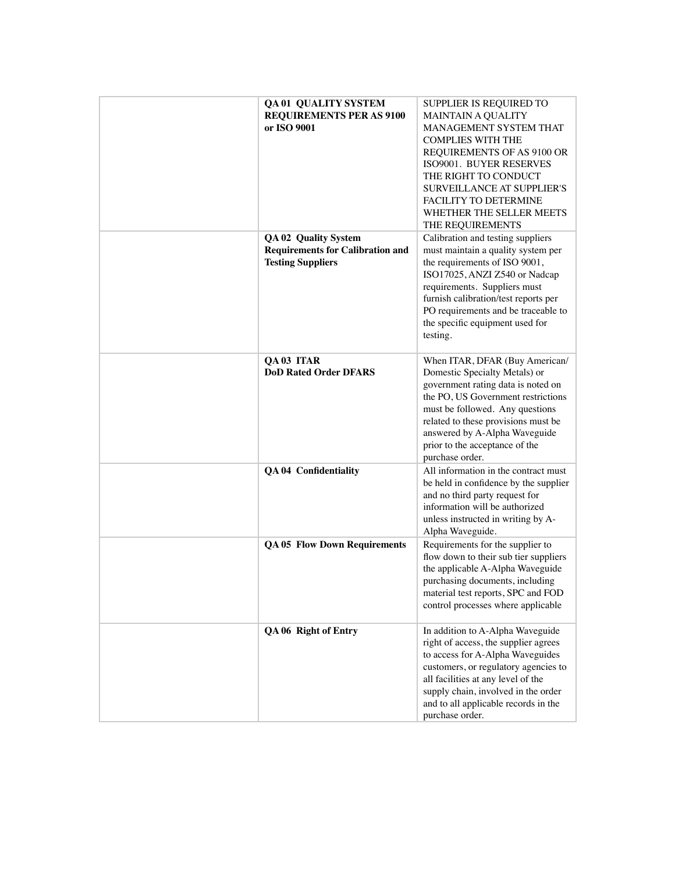| <b>QA01 QUALITY SYSTEM</b><br><b>REQUIREMENTS PER AS 9100</b><br>or ISO 9001                       | SUPPLIER IS REQUIRED TO<br><b>MAINTAIN A QUALITY</b><br>MANAGEMENT SYSTEM THAT<br><b>COMPLIES WITH THE</b><br>REQUIREMENTS OF AS 9100 OR<br>ISO9001. BUYER RESERVES<br>THE RIGHT TO CONDUCT<br><b>SURVEILLANCE AT SUPPLIER'S</b>                                                                            |
|----------------------------------------------------------------------------------------------------|-------------------------------------------------------------------------------------------------------------------------------------------------------------------------------------------------------------------------------------------------------------------------------------------------------------|
|                                                                                                    | FACILITY TO DETERMINE<br>WHETHER THE SELLER MEETS<br>THE REQUIREMENTS                                                                                                                                                                                                                                       |
| <b>QA 02 Quality System</b><br><b>Requirements for Calibration and</b><br><b>Testing Suppliers</b> | Calibration and testing suppliers<br>must maintain a quality system per<br>the requirements of ISO 9001,<br>ISO17025, ANZI Z540 or Nadcap<br>requirements. Suppliers must<br>furnish calibration/test reports per<br>PO requirements and be traceable to<br>the specific equipment used for<br>testing.     |
| QA 03 ITAR<br><b>DoD Rated Order DFARS</b>                                                         | When ITAR, DFAR (Buy American/<br>Domestic Specialty Metals) or<br>government rating data is noted on<br>the PO, US Government restrictions<br>must be followed. Any questions<br>related to these provisions must be<br>answered by A-Alpha Waveguide<br>prior to the acceptance of the<br>purchase order. |
| <b>QA 04 Confidentiality</b>                                                                       | All information in the contract must<br>be held in confidence by the supplier<br>and no third party request for<br>information will be authorized<br>unless instructed in writing by A-<br>Alpha Waveguide.                                                                                                 |
| <b>QA 05 Flow Down Requirements</b>                                                                | Requirements for the supplier to<br>flow down to their sub tier suppliers<br>the applicable A-Alpha Waveguide<br>purchasing documents, including<br>material test reports, SPC and FOD<br>control processes where applicable                                                                                |
| QA 06 Right of Entry                                                                               | In addition to A-Alpha Waveguide<br>right of access, the supplier agrees<br>to access for A-Alpha Waveguides<br>customers, or regulatory agencies to<br>all facilities at any level of the<br>supply chain, involved in the order<br>and to all applicable records in the<br>purchase order.                |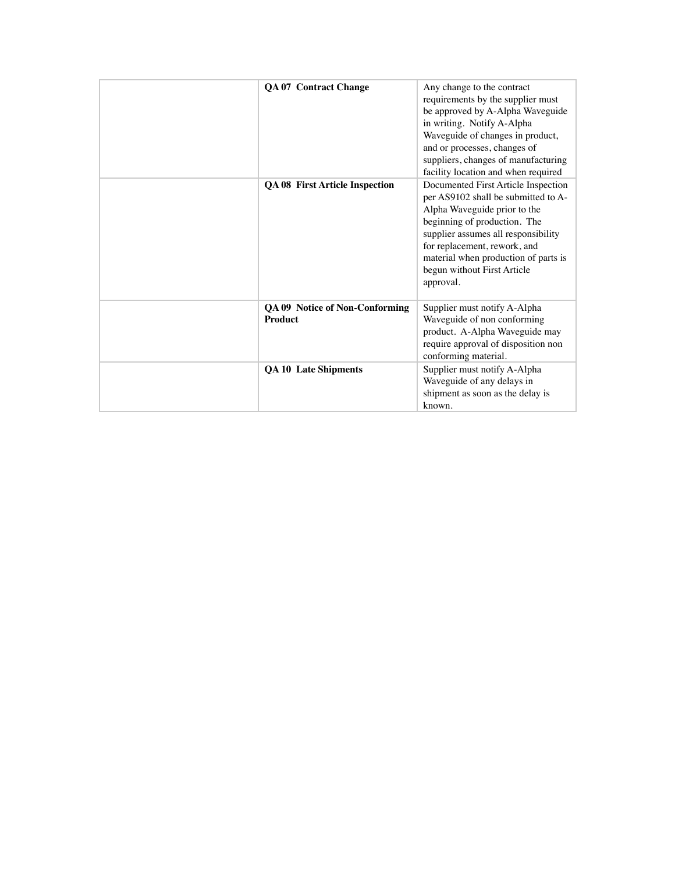| <b>QA 07 Contract Change</b>                            | Any change to the contract<br>requirements by the supplier must<br>be approved by A-Alpha Waveguide<br>in writing. Notify A-Alpha<br>Waveguide of changes in product,<br>and or processes, changes of<br>suppliers, changes of manufacturing<br>facility location and when required                   |
|---------------------------------------------------------|-------------------------------------------------------------------------------------------------------------------------------------------------------------------------------------------------------------------------------------------------------------------------------------------------------|
| <b>QA 08 First Article Inspection</b>                   | Documented First Article Inspection<br>per AS9102 shall be submitted to A-<br>Alpha Waveguide prior to the<br>beginning of production. The<br>supplier assumes all responsibility<br>for replacement, rework, and<br>material when production of parts is<br>begun without First Article<br>approval. |
| <b>QA 09 Notice of Non-Conforming</b><br><b>Product</b> | Supplier must notify A-Alpha<br>Waveguide of non conforming<br>product. A-Alpha Waveguide may<br>require approval of disposition non<br>conforming material.                                                                                                                                          |
| <b>QA 10 Late Shipments</b>                             | Supplier must notify A-Alpha<br>Waveguide of any delays in<br>shipment as soon as the delay is<br>known.                                                                                                                                                                                              |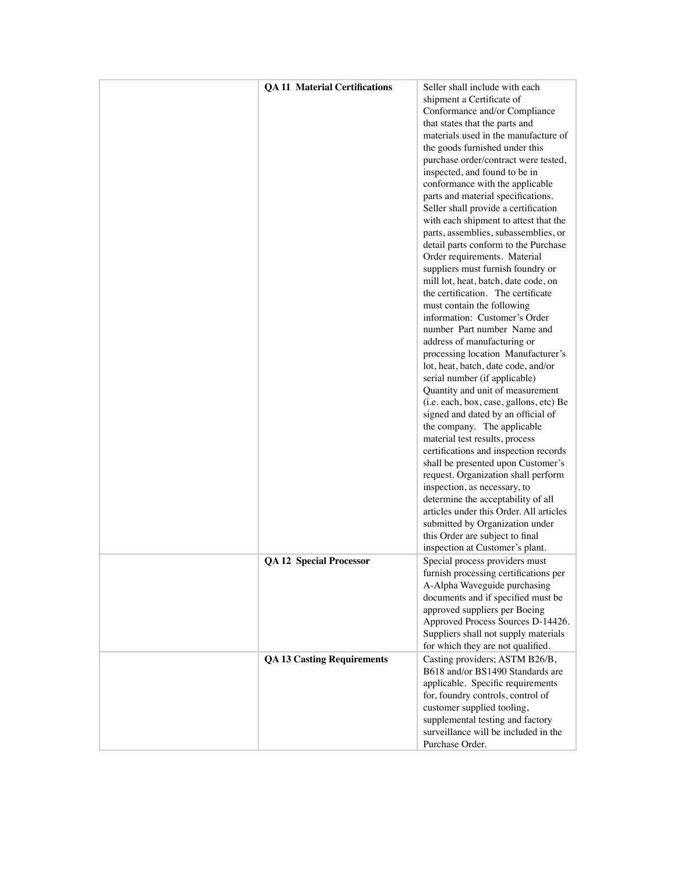| <b>QA 11 Material Certifications</b> | Seller shall include with each                                     |
|--------------------------------------|--------------------------------------------------------------------|
|                                      | shipment a Certificate of                                          |
|                                      | Conformance and/or Compliance                                      |
|                                      | that states that the parts and                                     |
|                                      | materials used in the manufacture of                               |
|                                      | the goods furnished under this                                     |
|                                      |                                                                    |
|                                      | purchase order/contract were tested,                               |
|                                      | inspected, and found to be in                                      |
|                                      | conformance with the applicable                                    |
|                                      | parts and material specifications.                                 |
|                                      | Seller shall provide a certification                               |
|                                      | with each shipment to attest that the                              |
|                                      | parts, assemblies, subassemblies, or                               |
|                                      | detail parts conform to the Purchase                               |
|                                      | Order requirements. Material                                       |
|                                      | suppliers must furnish foundry or                                  |
|                                      | mill lot, heat, batch, date code, on                               |
|                                      | the certification. The certificate                                 |
|                                      | must contain the following                                         |
|                                      | information: Customer's Order                                      |
|                                      | number Part number Name and                                        |
|                                      | address of manufacturing or                                        |
|                                      | processing location Manufacturer's                                 |
|                                      | lot, heat, batch, date code, and/or                                |
|                                      | serial number (if applicable)                                      |
|                                      | Quantity and unit of measurement                                   |
|                                      | (i.e. each, box, case, gallons, etc) Be                            |
|                                      | signed and dated by an official of                                 |
|                                      | the company. The applicable                                        |
|                                      | material test results, process                                     |
|                                      | certifications and inspection records                              |
|                                      | shall be presented upon Customer's                                 |
|                                      | request. Organization shall perform                                |
|                                      | inspection, as necessary, to                                       |
|                                      | determine the acceptability of all                                 |
|                                      | articles under this Order. All articles                            |
|                                      | submitted by Organization under                                    |
|                                      | this Order are subject to final                                    |
|                                      | inspection at Customer's plant.                                    |
| <b>QA 12 Special Processor</b>       | Special process providers must                                     |
|                                      | furnish processing certifications per                              |
|                                      | A-Alpha Waveguide purchasing                                       |
|                                      | documents and if specified must be                                 |
|                                      | approved suppliers per Boeing                                      |
|                                      | Approved Process Sources D-14426.                                  |
|                                      | Suppliers shall not supply materials                               |
|                                      | for which they are not qualified.                                  |
|                                      |                                                                    |
| <b>QA 13 Casting Requirements</b>    | Casting providers; ASTM B26/B,<br>B618 and/or BS1490 Standards are |
|                                      |                                                                    |
|                                      | applicable. Specific requirements                                  |
|                                      | for, foundry controls, control of                                  |
|                                      | customer supplied tooling,                                         |
|                                      | supplemental testing and factory                                   |
|                                      | surveillance will be included in the                               |
|                                      | Purchase Order.                                                    |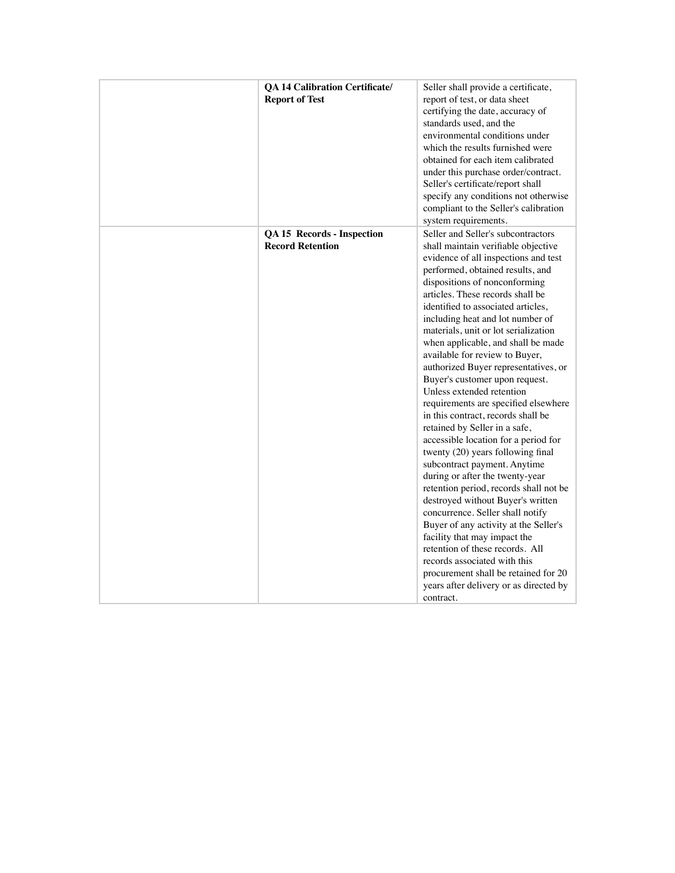| <b>QA 14 Calibration Certificate/</b><br><b>Report of Test</b> | Seller shall provide a certificate,<br>report of test, or data sheet<br>certifying the date, accuracy of<br>standards used, and the<br>environmental conditions under<br>which the results furnished were<br>obtained for each item calibrated<br>under this purchase order/contract.<br>Seller's certificate/report shall<br>specify any conditions not otherwise<br>compliant to the Seller's calibration<br>system requirements.                                                                                                                                                                                                                                                                                                                                                                                                                                                                                                                                                                                                                                                                                                                      |
|----------------------------------------------------------------|----------------------------------------------------------------------------------------------------------------------------------------------------------------------------------------------------------------------------------------------------------------------------------------------------------------------------------------------------------------------------------------------------------------------------------------------------------------------------------------------------------------------------------------------------------------------------------------------------------------------------------------------------------------------------------------------------------------------------------------------------------------------------------------------------------------------------------------------------------------------------------------------------------------------------------------------------------------------------------------------------------------------------------------------------------------------------------------------------------------------------------------------------------|
| <b>QA 15 Records - Inspection</b><br><b>Record Retention</b>   | Seller and Seller's subcontractors<br>shall maintain verifiable objective<br>evidence of all inspections and test<br>performed, obtained results, and<br>dispositions of nonconforming<br>articles. These records shall be<br>identified to associated articles,<br>including heat and lot number of<br>materials, unit or lot serialization<br>when applicable, and shall be made<br>available for review to Buyer,<br>authorized Buyer representatives, or<br>Buyer's customer upon request.<br>Unless extended retention<br>requirements are specified elsewhere<br>in this contract, records shall be<br>retained by Seller in a safe,<br>accessible location for a period for<br>twenty (20) years following final<br>subcontract payment. Anytime<br>during or after the twenty-year<br>retention period, records shall not be<br>destroyed without Buyer's written<br>concurrence. Seller shall notify<br>Buyer of any activity at the Seller's<br>facility that may impact the<br>retention of these records. All<br>records associated with this<br>procurement shall be retained for 20<br>years after delivery or as directed by<br>contract. |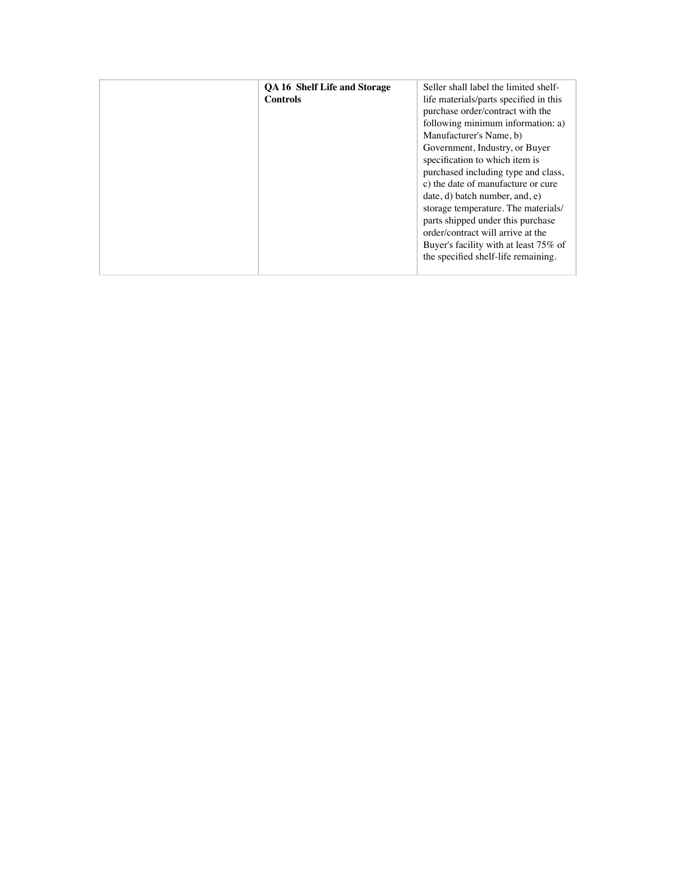| <b>OA 16 Shelf Life and Storage</b><br><b>Controls</b> | Seller shall label the limited shelf-<br>life materials/parts specified in this<br>purchase order/contract with the |
|--------------------------------------------------------|---------------------------------------------------------------------------------------------------------------------|
|                                                        | following minimum information: a)<br>Manufacturer's Name, b)                                                        |
|                                                        |                                                                                                                     |
|                                                        | Government, Industry, or Buyer                                                                                      |
|                                                        | specification to which item is                                                                                      |
|                                                        | purchased including type and class,                                                                                 |
|                                                        | c) the date of manufacture or cure                                                                                  |
|                                                        | date, d) batch number, and, e)                                                                                      |
|                                                        | storage temperature. The materials/                                                                                 |
|                                                        | parts shipped under this purchase                                                                                   |
|                                                        | order/contract will arrive at the                                                                                   |
|                                                        | Buyer's facility with at least 75% of                                                                               |
|                                                        | the specified shelf-life remaining.                                                                                 |
|                                                        |                                                                                                                     |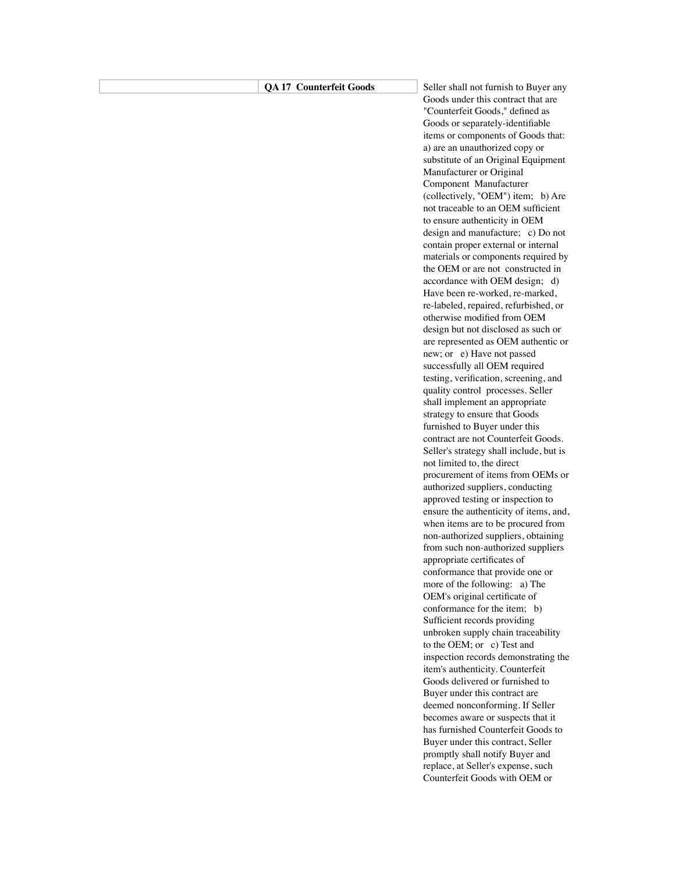## **QA 17 Counterfeit Goods** Seller shall not furnish to Buyer any

Goods under this contract that are "Counterfeit Goods," defined as Goods or separately-identifiable items or components of Goods that: a) are an unauthorized copy or substitute of an Original Equipment Manufacturer or Original Component Manufacturer (collectively, "OEM") item; b) Are not traceable to an OEM sufficient to ensure authenticity in OEM design and manufacture; c) Do not contain proper external or internal materials or components required by the OEM or are not constructed in accordance with OEM design; d) Have been re-worked, re-marked, re-labeled, repaired, refurbished, or otherwise modified from OEM design but not disclosed as such or are represented as OEM authentic or new; or e) Have not passed successfully all OEM required testing, verification, screening, and quality control processes. Seller shall implement an appropriate strategy to ensure that Goods furnished to Buyer under this contract are not Counterfeit Goods. Seller's strategy shall include, but is not limited to, the direct procurement of items from OEMs or authorized suppliers, conducting approved testing or inspection to ensure the authenticity of items, and, when items are to be procured from non-authorized suppliers, obtaining from such non-authorized suppliers appropriate certificates of conformance that provide one or more of the following: a) The OEM's original certificate of conformance for the item; b) Sufficient records providing unbroken supply chain traceability to the OEM; or c) Test and inspection records demonstrating the item's authenticity. Counterfeit Goods delivered or furnished to Buyer under this contract are deemed nonconforming. If Seller becomes aware or suspects that it has furnished Counterfeit Goods to Buyer under this contract, Seller promptly shall notify Buyer and replace, at Seller's expense, such Counterfeit Goods with OEM or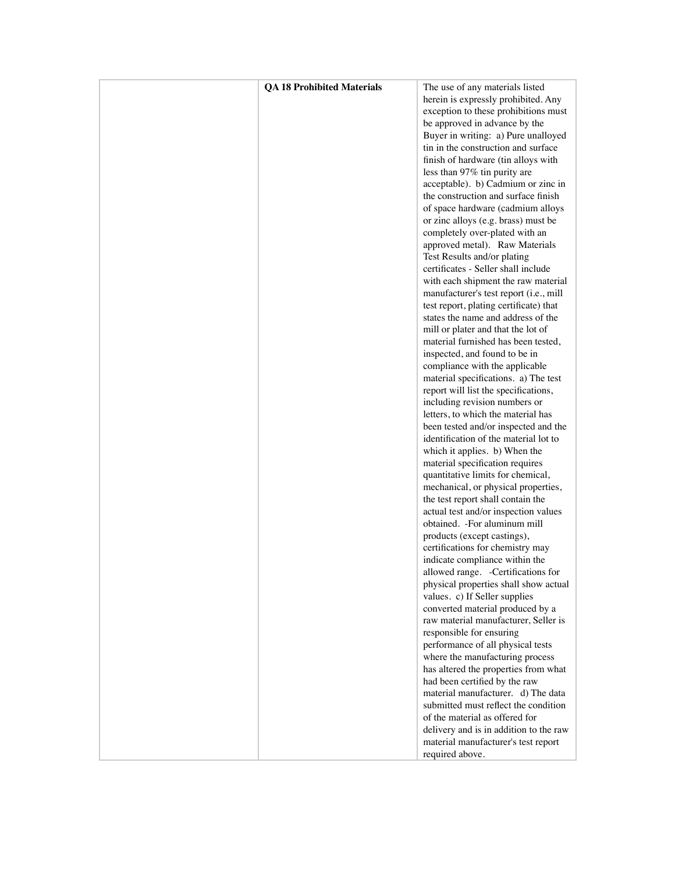| <b>QA 18 Prohibited Materials</b> | The use of any materials listed        |
|-----------------------------------|----------------------------------------|
|                                   | herein is expressly prohibited. Any    |
|                                   | exception to these prohibitions must   |
|                                   | be approved in advance by the          |
|                                   | Buyer in writing: a) Pure unalloyed    |
|                                   | tin in the construction and surface    |
|                                   | finish of hardware (tin alloys with    |
|                                   | less than 97% tin purity are           |
|                                   | acceptable). b) Cadmium or zinc in     |
|                                   | the construction and surface finish    |
|                                   | of space hardware (cadmium alloys      |
|                                   | or zinc alloys (e.g. brass) must be    |
|                                   | completely over-plated with an         |
|                                   | approved metal). Raw Materials         |
|                                   | Test Results and/or plating            |
|                                   | certificates - Seller shall include    |
|                                   |                                        |
|                                   | with each shipment the raw material    |
|                                   | manufacturer's test report (i.e., mill |
|                                   | test report, plating certificate) that |
|                                   | states the name and address of the     |
|                                   | mill or plater and that the lot of     |
|                                   | material furnished has been tested,    |
|                                   | inspected, and found to be in          |
|                                   | compliance with the applicable         |
|                                   | material specifications. a) The test   |
|                                   | report will list the specifications,   |
|                                   | including revision numbers or          |
|                                   | letters, to which the material has     |
|                                   | been tested and/or inspected and the   |
|                                   | identification of the material lot to  |
|                                   | which it applies. b) When the          |
|                                   | material specification requires        |
|                                   | quantitative limits for chemical,      |
|                                   | mechanical, or physical properties,    |
|                                   | the test report shall contain the      |
|                                   | actual test and/or inspection values   |
|                                   | obtained. - For aluminum mill          |
|                                   | products (except castings),            |
|                                   | certifications for chemistry may       |
|                                   | indicate compliance within the         |
|                                   | allowed range. - Certifications for    |
|                                   | physical properties shall show actual  |
|                                   | values. c) If Seller supplies          |
|                                   | converted material produced by a       |
|                                   | raw material manufacturer, Seller is   |
|                                   | responsible for ensuring               |
|                                   | performance of all physical tests      |
|                                   | where the manufacturing process        |
|                                   | has altered the properties from what   |
|                                   | had been certified by the raw          |
|                                   | material manufacturer. d) The data     |
|                                   | submitted must reflect the condition   |
|                                   | of the material as offered for         |
|                                   | delivery and is in addition to the raw |
|                                   | material manufacturer's test report    |
|                                   | required above.                        |
|                                   |                                        |